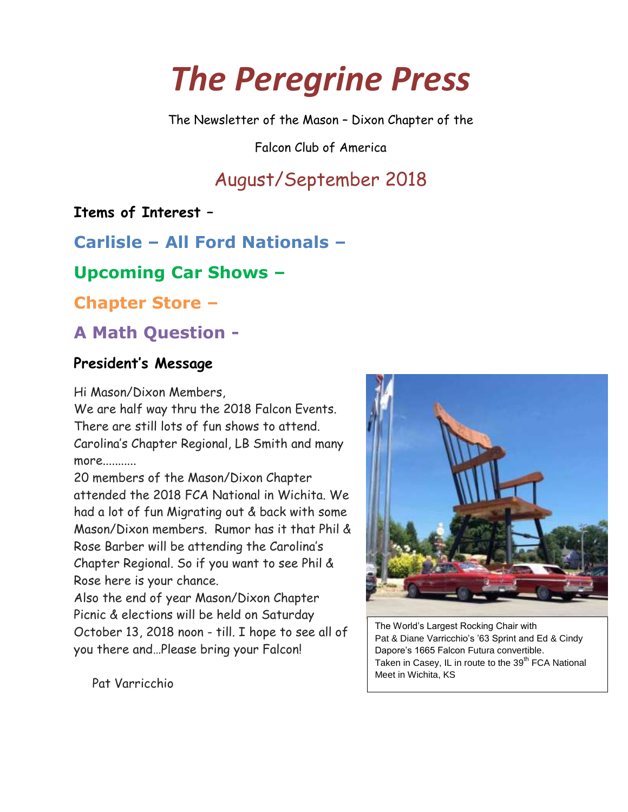# *The Peregrine Press*

The Newsletter of the Mason – Dixon Chapter of the

Falcon Club of America

# August/September 2018

**Items of Interest –**

**Carlisle – All Ford Nationals –**

### **Upcoming Car Shows –**

**Chapter Store –**

## **A Math Question -**

#### **President's Message**

Hi Mason/Dixon Members,

We are half way thru the 2018 Falcon Events. There are still lots of fun shows to attend. Carolina's Chapter Regional, LB Smith and many more...........

20 members of the Mason/Dixon Chapter attended the 2018 FCA National in Wichita. We had a lot of fun Migrating out & back with some Mason/Dixon members. Rumor has it that Phil & Rose Barber will be attending the Carolina's Chapter Regional. So if you want to see Phil & Rose here is your chance.

Also the end of year Mason/Dixon Chapter Picnic & elections will be held on Saturday October 13, 2018 noon - till. I hope to see all of you there and…Please bring your Falcon!



The World's Largest Rocking Chair with Pat & Diane Varricchio's '63 Sprint and Ed & Cindy Dapore's 1665 Falcon Futura convertible. Taken in Casey, IL in route to the  $39<sup>th</sup>$  FCA National Meet in Wichita, KS

Pat Varricchio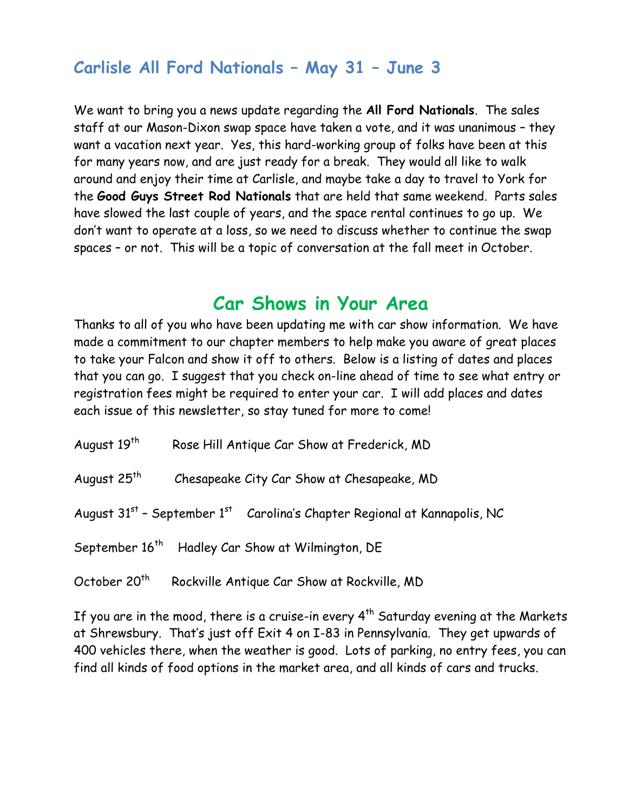### **Carlisle All Ford Nationals – May 31 – June 3**

We want to bring you a news update regarding the **All Ford Nationals**. The sales staff at our Mason-Dixon swap space have taken a vote, and it was unanimous – they want a vacation next year. Yes, this hard-working group of folks have been at this for many years now, and are just ready for a break. They would all like to walk around and enjoy their time at Carlisle, and maybe take a day to travel to York for the **Good Guys Street Rod Nationals** that are held that same weekend. Parts sales have slowed the last couple of years, and the space rental continues to go up. We don't want to operate at a loss, so we need to discuss whether to continue the swap spaces – or not. This will be a topic of conversation at the fall meet in October.

### **Car Shows in Your Area**

Thanks to all of you who have been updating me with car show information. We have made a commitment to our chapter members to help make you aware of great places to take your Falcon and show it off to others. Below is a listing of dates and places that you can go. I suggest that you check on-line ahead of time to see what entry or registration fees might be required to enter your car. I will add places and dates each issue of this newsletter, so stay tuned for more to come!

| August 19 <sup>th</sup> | Rose Hill Antique Car Show at Frederick, MD |
|-------------------------|---------------------------------------------|
|-------------------------|---------------------------------------------|

August 25<sup>th</sup> Chesapeake City Car Show at Chesapeake, MD

August 31<sup>st</sup> - September 1<sup>st</sup> Carolina's Chapter Regional at Kannapolis, NC

September 16<sup>th</sup> Hadley Car Show at Wilmington, DE

October 20<sup>th</sup> Rockville Antique Car Show at Rockville, MD

If you are in the mood, there is a cruise-in every  $4^{th}$  Saturday evening at the Markets at Shrewsbury. That's just off Exit 4 on I-83 in Pennsylvania. They get upwards of 400 vehicles there, when the weather is good. Lots of parking, no entry fees, you can find all kinds of food options in the market area, and all kinds of cars and trucks.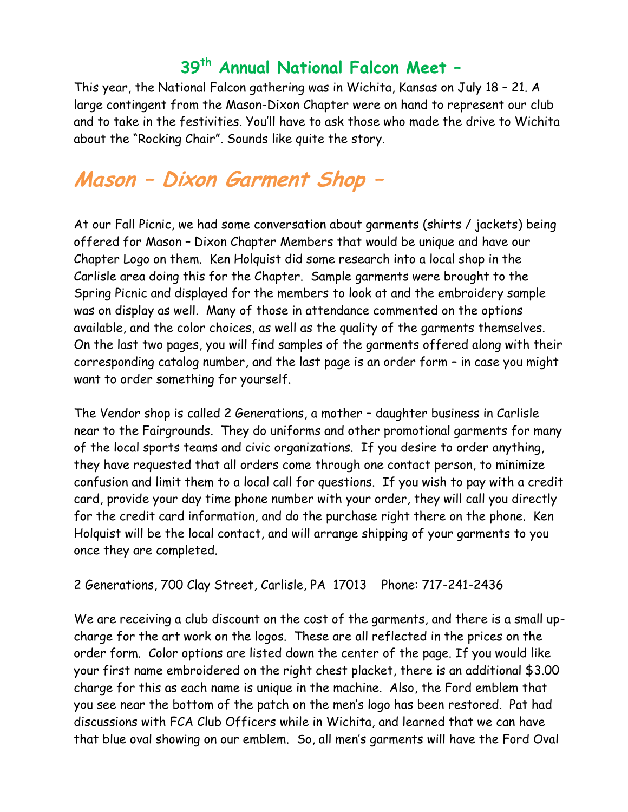# **39th Annual National Falcon Meet –**

This year, the National Falcon gathering was in Wichita, Kansas on July 18 – 21. A large contingent from the Mason-Dixon Chapter were on hand to represent our club and to take in the festivities. You'll have to ask those who made the drive to Wichita about the "Rocking Chair". Sounds like quite the story.

# **Mason – Dixon Garment Shop –**

At our Fall Picnic, we had some conversation about garments (shirts / jackets) being offered for Mason – Dixon Chapter Members that would be unique and have our Chapter Logo on them. Ken Holquist did some research into a local shop in the Carlisle area doing this for the Chapter. Sample garments were brought to the Spring Picnic and displayed for the members to look at and the embroidery sample was on display as well. Many of those in attendance commented on the options available, and the color choices, as well as the quality of the garments themselves. On the last two pages, you will find samples of the garments offered along with their corresponding catalog number, and the last page is an order form – in case you might want to order something for yourself.

The Vendor shop is called 2 Generations, a mother – daughter business in Carlisle near to the Fairgrounds. They do uniforms and other promotional garments for many of the local sports teams and civic organizations. If you desire to order anything, they have requested that all orders come through one contact person, to minimize confusion and limit them to a local call for questions. If you wish to pay with a credit card, provide your day time phone number with your order, they will call you directly for the credit card information, and do the purchase right there on the phone. Ken Holquist will be the local contact, and will arrange shipping of your garments to you once they are completed.

#### 2 Generations, 700 Clay Street, Carlisle, PA 17013 Phone: 717-241-2436

We are receiving a club discount on the cost of the garments, and there is a small upcharge for the art work on the logos. These are all reflected in the prices on the order form. Color options are listed down the center of the page. If you would like your first name embroidered on the right chest placket, there is an additional \$3.00 charge for this as each name is unique in the machine. Also, the Ford emblem that you see near the bottom of the patch on the men's logo has been restored. Pat had discussions with FCA Club Officers while in Wichita, and learned that we can have that blue oval showing on our emblem. So, all men's garments will have the Ford Oval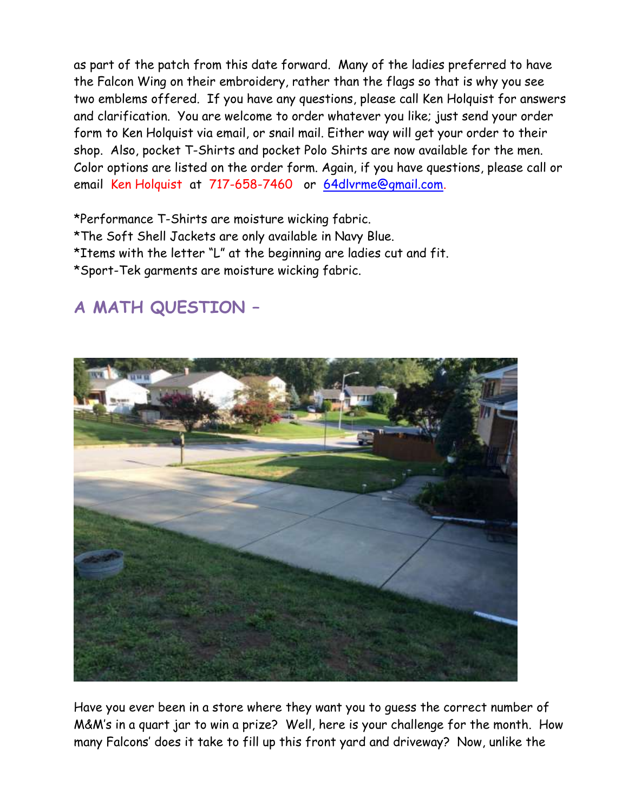as part of the patch from this date forward. Many of the ladies preferred to have the Falcon Wing on their embroidery, rather than the flags so that is why you see two emblems offered. If you have any questions, please call Ken Holquist for answers and clarification. You are welcome to order whatever you like; just send your order form to Ken Holquist via email, or snail mail. Either way will get your order to their shop. Also, pocket T-Shirts and pocket Polo Shirts are now available for the men. Color options are listed on the order form. Again, if you have questions, please call or email Ken Holquist at 717-658-7460 or [64dlvrme@gmail.com.](mailto:64dlvrme@gmail.com)

\*Performance T-Shirts are moisture wicking fabric. \*The Soft Shell Jackets are only available in Navy Blue. \*Items with the letter "L" at the beginning are ladies cut and fit. \*Sport-Tek garments are moisture wicking fabric.

# **A MATH QUESTION –**



Have you ever been in a store where they want you to guess the correct number of M&M's in a quart jar to win a prize? Well, here is your challenge for the month. How many Falcons' does it take to fill up this front yard and driveway? Now, unlike the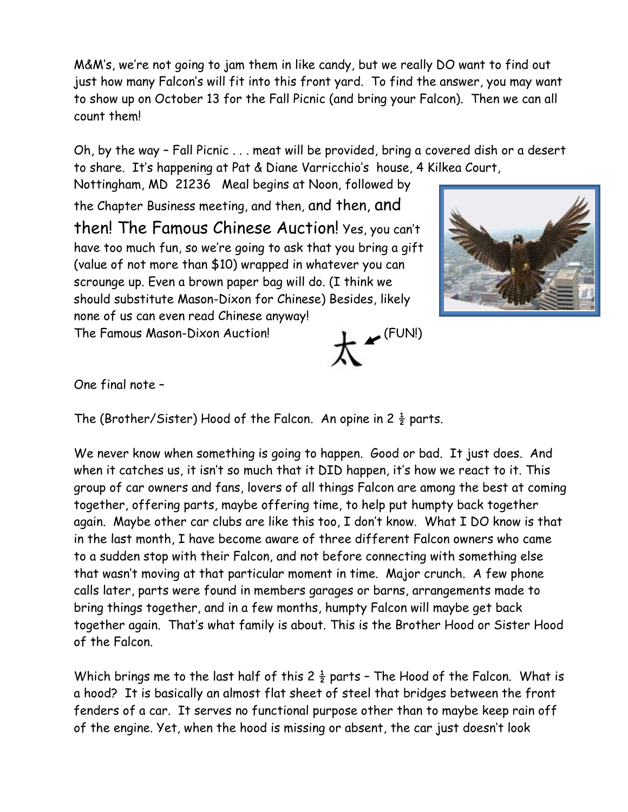M&M's, we're not going to jam them in like candy, but we really DO want to find out just how many Falcon's will fit into this front yard. To find the answer, you may want to show up on October 13 for the Fall Picnic (and bring your Falcon). Then we can all count them!

Oh, by the way – Fall Picnic . . . meat will be provided, bring a covered dish or a desert to share. It's happening at Pat & Diane Varricchio's house, 4 Kilkea Court,

Nottingham, MD 21236 Meal begins at Noon, followed by the Chapter Business meeting, and then, and then, and then! The Famous Chinese Auction! Yes, you can't have too much fun, so we're going to ask that you bring a gift (value of not more than \$10) wrapped in whatever you can scrounge up. Even a brown paper bag will do. (I think we should substitute Mason-Dixon for Chinese) Besides, likely none of us can even read Chinese anyway! The Famous Mason-Dixon Auction! (FUN!)



One final note –

The (Brother/Sister) Hood of the Falcon. An opine in 2  $\frac{1}{2}$  parts.

We never know when something is going to happen. Good or bad. It just does. And when it catches us, it isn't so much that it DID happen, it's how we react to it. This group of car owners and fans, lovers of all things Falcon are among the best at coming together, offering parts, maybe offering time, to help put humpty back together again. Maybe other car clubs are like this too, I don't know. What I DO know is that in the last month, I have become aware of three different Falcon owners who came to a sudden stop with their Falcon, and not before connecting with something else that wasn't moving at that particular moment in time. Major crunch. A few phone calls later, parts were found in members garages or barns, arrangements made to bring things together, and in a few months, humpty Falcon will maybe get back together again. That's what family is about. This is the Brother Hood or Sister Hood of the Falcon.

Which brings me to the last half of this  $2\frac{1}{2}$  parts - The Hood of the Falcon. What is a hood? It is basically an almost flat sheet of steel that bridges between the front fenders of a car. It serves no functional purpose other than to maybe keep rain off of the engine. Yet, when the hood is missing or absent, the car just doesn't look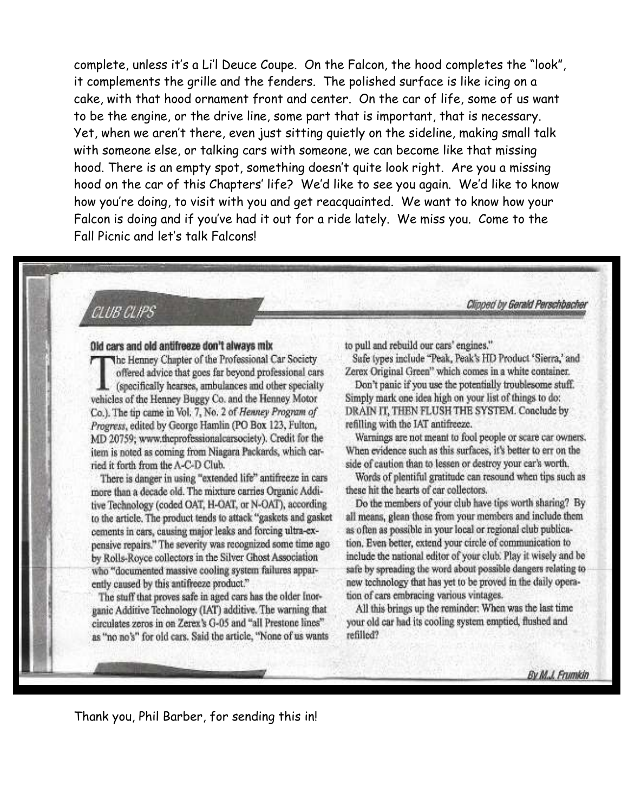complete, unless it's a Li'l Deuce Coupe. On the Falcon, the hood completes the "look", it complements the grille and the fenders. The polished surface is like icing on a cake, with that hood ornament front and center. On the car of life, some of us want to be the engine, or the drive line, some part that is important, that is necessary. Yet, when we aren't there, even just sitting quietly on the sideline, making small talk with someone else, or talking cars with someone, we can become like that missing hood. There is an empty spot, something doesn't quite look right. Are you a missing hood on the car of this Chapters' life? We'd like to see you again. We'd like to know how you're doing, to visit with you and get reacquainted. We want to know how your Falcon is doing and if you've had it out for a ride lately. We miss you. Come to the Fall Picnic and let's talk Falcons!

#### CLUB CLIPS

#### Old cars and old antifreeze don't always mix

The Henney Chapter of the Professional Car Society offered advice that goes far beyond professional cars (specifically hearses, ambulances and other specialty) vehicles of the Henney Buggy Co. and the Henney Motor Co.). The tip came in Vol. 7, No. 2 of Henney Program of Progress, edited by George Hamlin (PO Box 123, Fulton, MD 20759; www.theprofessionalcarsociety). Credit for the item is noted as coming from Niagara Packards, which carried it forth from the A-C-D Club.

There is danger in using "extended life" antifreeze in cars more than a decade old. The mixture carries Organic Additive Technology (coded OAT, H-OAT, or N-OAT), according to the article. The product tends to attack "gaskets and gasket cements in cars, causing major leaks and forcing ultra-expensive repairs." The severity was recognized some time ago by Rolls-Royce collectors in the Silver Ghost Association who "documented massive cooling system failures apparently caused by this antifreeze product."

The stuff that proves safe in aged cars has the older Inorganic Additive Technology (IAT) additive. The warning that circulates zeros in on Zerex's G-05 and "all Prestone lines" as "no no's" for old cars. Said the article, "None of us wants to pull and rebuild our cars' engines."

Sufe types include "Peak, Peak's HD Product 'Sierra,' and Zerex Original Green" which comes in a white container.

Clipped by Gerald Perschbacher

Don't panic if you use the potentially troublesome stuff. Simply mark one idea high on your list of things to do: DRAIN IT, THEN FLUSH THE SYSTEM. Conclude by refilling with the IAT antifreeze.

Warnings are not meant to fool people or scare car owners. When evidence such as this surfaces, it's better to err on the side of caution than to lessen or destroy your car's worth.

Words of plentiful gratitude can resound when tips such as these hit the hearts of car collectors.

Do the members of your club have tips worth sharing? By all means, glean those from your members and include them as often as possible in your local or regional club publication. Even better, extend your circle of communication to include the national editor of your club. Play it wisely and be safe by spreading the word about possible dangers relating to new technology that has yet to be proved in the daily operation of cars embracing various vintages.

All this brings up the reminder: When was the last time your old car had its cooling system emptied, flushed and refilled?

Thank you, Phil Barber, for sending this in!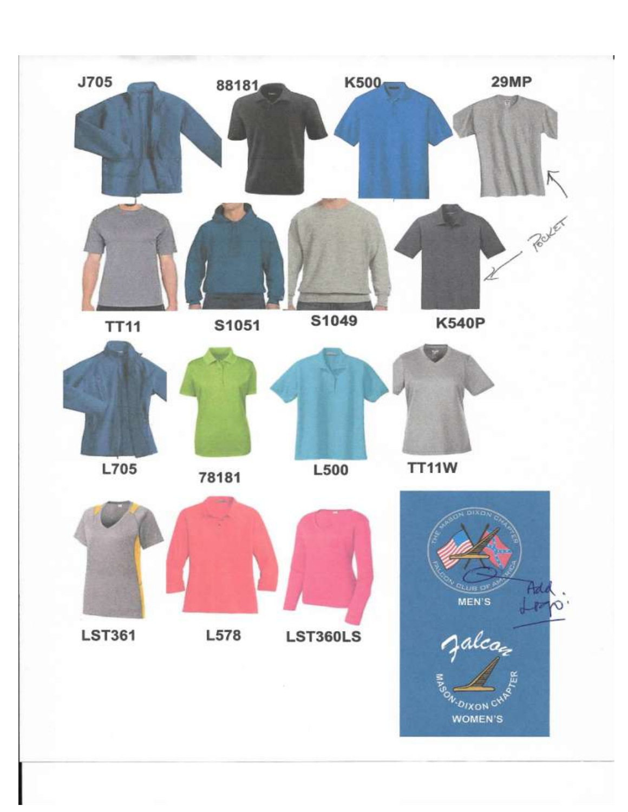